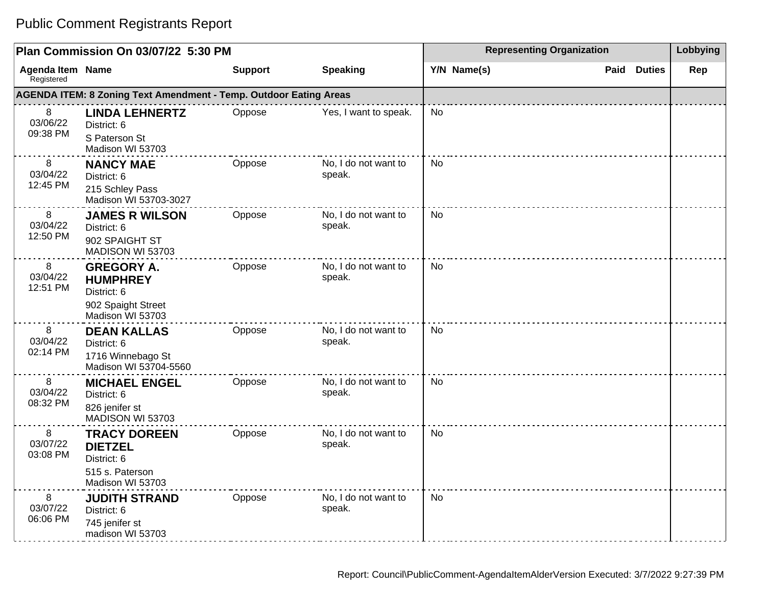| Plan Commission On 03/07/22 5:30 PM   |                                                                                               |                |                                | <b>Representing Organization</b> | Lobbying           |     |
|---------------------------------------|-----------------------------------------------------------------------------------------------|----------------|--------------------------------|----------------------------------|--------------------|-----|
| <b>Agenda Item Name</b><br>Registered |                                                                                               | <b>Support</b> | <b>Speaking</b>                | Y/N Name(s)                      | <b>Paid Duties</b> | Rep |
|                                       | AGENDA ITEM: 8 Zoning Text Amendment - Temp. Outdoor Eating Areas                             |                |                                |                                  |                    |     |
| 8<br>03/06/22<br>09:38 PM             | <b>LINDA LEHNERTZ</b><br>District: 6<br>S Paterson St<br>Madison WI 53703                     | Oppose         | Yes, I want to speak.          | No                               |                    |     |
| 8<br>03/04/22<br>12:45 PM             | <b>NANCY MAE</b><br>District: 6<br>215 Schley Pass<br>Madison WI 53703-3027                   | Oppose         | No. I do not want to<br>speak. | <b>No</b>                        |                    |     |
| 8<br>03/04/22<br>12:50 PM             | <b>JAMES R WILSON</b><br>District: 6<br>902 SPAIGHT ST<br>MADISON WI 53703                    | Oppose         | No, I do not want to<br>speak. | <b>No</b>                        |                    |     |
| 8<br>03/04/22<br>12:51 PM             | <b>GREGORY A.</b><br><b>HUMPHREY</b><br>District: 6<br>902 Spaight Street<br>Madison WI 53703 | Oppose         | No, I do not want to<br>speak. | <b>No</b>                        |                    |     |
| 8<br>03/04/22<br>02:14 PM             | <b>DEAN KALLAS</b><br>District: 6<br>1716 Winnebago St<br>Madison WI 53704-5560               | Oppose         | No, I do not want to<br>speak. | <b>No</b>                        |                    |     |
| 8<br>03/04/22<br>08:32 PM             | <b>MICHAEL ENGEL</b><br>District: 6<br>826 jenifer st<br>MADISON WI 53703                     | Oppose         | No, I do not want to<br>speak. | <b>No</b>                        |                    |     |
| 8<br>03/07/22<br>03:08 PM             | <b>TRACY DOREEN</b><br><b>DIETZEL</b><br>District: 6<br>515 s. Paterson<br>Madison WI 53703   | Oppose         | No, I do not want to<br>speak. | <b>No</b>                        |                    |     |
| 8<br>03/07/22<br>06:06 PM             | <b>JUDITH STRAND</b><br>District: 6<br>745 jenifer st<br>madison WI 53703                     | Oppose         | No, I do not want to<br>speak. | <b>No</b>                        |                    |     |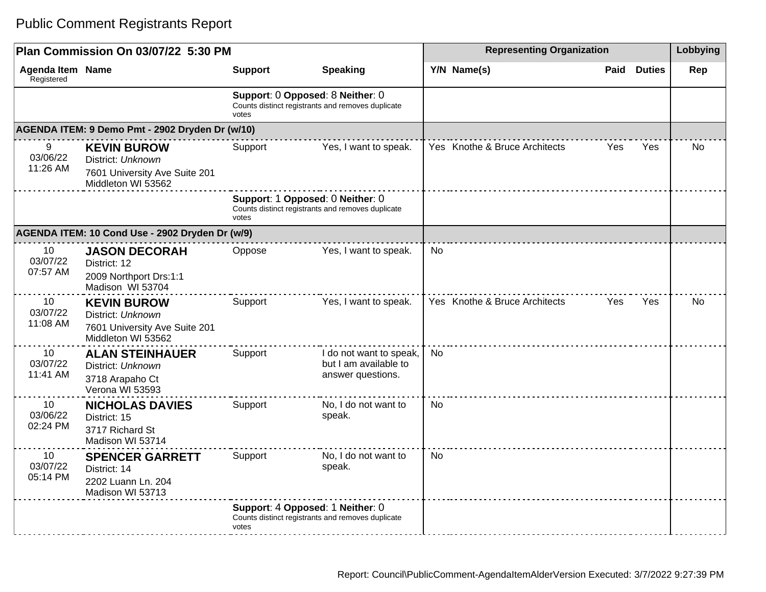| Plan Commission On 03/07/22 5:30 PM   |                                                                                                |                                           |                                                                       | <b>Representing Organization</b> | Lobbying |               |           |
|---------------------------------------|------------------------------------------------------------------------------------------------|-------------------------------------------|-----------------------------------------------------------------------|----------------------------------|----------|---------------|-----------|
| <b>Agenda Item Name</b><br>Registered |                                                                                                | <b>Support</b>                            | <b>Speaking</b>                                                       | Y/N Name(s)                      | Paid     | <b>Duties</b> | Rep       |
|                                       |                                                                                                | Support: 0 Opposed: 8 Neither: 0<br>votes | Counts distinct registrants and removes duplicate                     |                                  |          |               |           |
|                                       | AGENDA ITEM: 9 Demo Pmt - 2902 Dryden Dr (w/10)                                                |                                           |                                                                       |                                  |          |               |           |
| 9<br>03/06/22<br>11:26 AM             | <b>KEVIN BUROW</b><br>District: Unknown<br>7601 University Ave Suite 201<br>Middleton WI 53562 | Support                                   | Yes, I want to speak.                                                 | Yes Knothe & Bruce Architects    | Yes      | Yes           | <b>No</b> |
|                                       |                                                                                                | Support: 1 Opposed: 0 Neither: 0<br>votes | Counts distinct registrants and removes duplicate                     |                                  |          |               |           |
|                                       | AGENDA ITEM: 10 Cond Use - 2902 Dryden Dr (w/9)                                                |                                           |                                                                       |                                  |          |               |           |
| 10<br>03/07/22<br>07:57 AM            | <b>JASON DECORAH</b><br>District: 12<br>2009 Northport Drs:1:1<br>Madison WI 53704             | Oppose                                    | Yes, I want to speak.                                                 | No                               |          |               |           |
| 10<br>03/07/22<br>11:08 AM            | <b>KEVIN BUROW</b><br>District: Unknown<br>7601 University Ave Suite 201<br>Middleton WI 53562 | Support                                   | Yes, I want to speak.                                                 | Yes Knothe & Bruce Architects    | Yes      | Yes           | No        |
| 10<br>03/07/22<br>11:41 AM            | <b>ALAN STEINHAUER</b><br>District: Unknown<br>3718 Arapaho Ct<br>Verona WI 53593              | Support                                   | I do not want to speak,<br>but I am available to<br>answer questions. | <b>No</b>                        |          |               |           |
| 10<br>03/06/22<br>02:24 PM            | <b>NICHOLAS DAVIES</b><br>District: 15<br>3717 Richard St<br>Madison WI 53714                  | Support                                   | No, I do not want to<br>speak.                                        | <b>No</b>                        |          |               |           |
| 10<br>03/07/22<br>05:14 PM            | <b>SPENCER GARRETT</b><br>District: 14<br>2202 Luann Ln. 204<br>Madison WI 53713               | Support                                   | No, I do not want to<br>speak.                                        | <b>No</b>                        |          |               |           |
|                                       |                                                                                                | Support: 4 Opposed: 1 Neither: 0<br>votes | Counts distinct registrants and removes duplicate                     |                                  |          |               |           |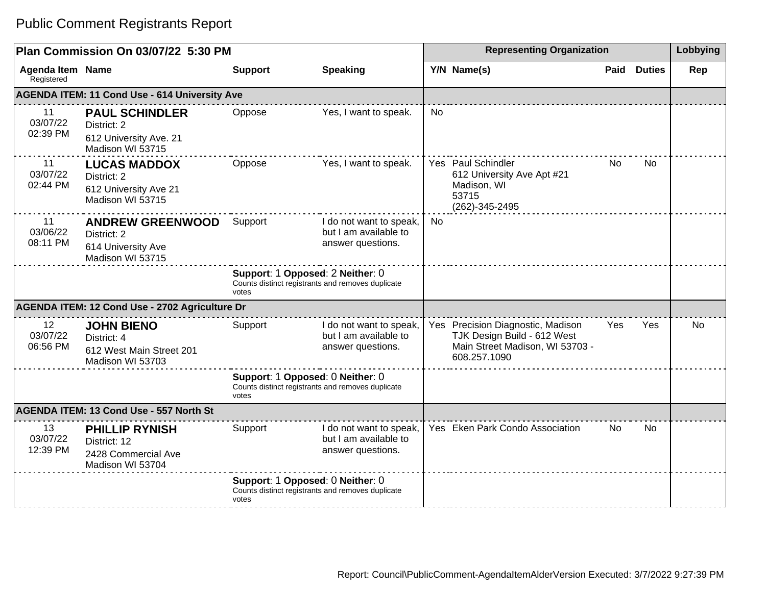| Plan Commission On 03/07/22 5:30 PM |                                                                                    |                                                                                                |                                                                                       | <b>Representing Organization</b> |                                                                                                                     |      |               | Lobbying  |
|-------------------------------------|------------------------------------------------------------------------------------|------------------------------------------------------------------------------------------------|---------------------------------------------------------------------------------------|----------------------------------|---------------------------------------------------------------------------------------------------------------------|------|---------------|-----------|
| Agenda Item Name<br>Registered      |                                                                                    | <b>Support</b>                                                                                 | <b>Speaking</b>                                                                       |                                  | Y/N Name(s)                                                                                                         | Paid | <b>Duties</b> | Rep       |
|                                     | <b>AGENDA ITEM: 11 Cond Use - 614 University Ave</b>                               |                                                                                                |                                                                                       |                                  |                                                                                                                     |      |               |           |
| 11<br>03/07/22<br>02:39 PM          | <b>PAUL SCHINDLER</b><br>District: 2<br>612 University Ave. 21<br>Madison WI 53715 | Oppose                                                                                         | Yes, I want to speak.                                                                 | <b>No</b>                        |                                                                                                                     |      |               |           |
| 11<br>03/07/22<br>02:44 PM          | <b>LUCAS MADDOX</b><br>District: 2<br>612 University Ave 21<br>Madison WI 53715    | Oppose                                                                                         | Yes, I want to speak.                                                                 |                                  | Yes Paul Schindler<br>612 University Ave Apt #21<br>Madison, WI<br>53715<br>(262)-345-2495                          | No   | No.           |           |
| 11<br>03/06/22<br>08:11 PM          | <b>ANDREW GREENWOOD</b><br>District: 2<br>614 University Ave<br>Madison WI 53715   | Support                                                                                        | I do not want to speak,<br>but I am available to<br>answer questions.                 | No                               |                                                                                                                     |      |               |           |
|                                     |                                                                                    | Support: 1 Opposed: 2 Neither: 0<br>Counts distinct registrants and removes duplicate<br>votes |                                                                                       |                                  |                                                                                                                     |      |               |           |
|                                     | AGENDA ITEM: 12 Cond Use - 2702 Agriculture Dr                                     |                                                                                                |                                                                                       |                                  |                                                                                                                     |      |               |           |
| 12<br>03/07/22<br>06:56 PM          | <b>JOHN BIENO</b><br>District: 4<br>612 West Main Street 201<br>Madison WI 53703   | Support                                                                                        | I do not want to speak,<br>but I am available to<br>answer questions.                 |                                  | Yes Precision Diagnostic, Madison<br>TJK Design Build - 612 West<br>Main Street Madison, WI 53703 -<br>608.257.1090 | Yes  | Yes           | <b>No</b> |
|                                     |                                                                                    | votes                                                                                          | Support: 1 Opposed: 0 Neither: 0<br>Counts distinct registrants and removes duplicate |                                  |                                                                                                                     |      |               |           |
|                                     | AGENDA ITEM: 13 Cond Use - 557 North St                                            |                                                                                                |                                                                                       |                                  |                                                                                                                     |      |               |           |
| 13<br>03/07/22<br>12:39 PM          | <b>PHILLIP RYNISH</b><br>District: 12<br>2428 Commercial Ave<br>Madison WI 53704   | Support                                                                                        | I do not want to speak,<br>but I am available to<br>answer questions.                 |                                  | Yes Eken Park Condo Association                                                                                     | No.  | No            |           |
|                                     |                                                                                    | votes                                                                                          | Support: 1 Opposed: 0 Neither: 0<br>Counts distinct registrants and removes duplicate |                                  |                                                                                                                     |      |               |           |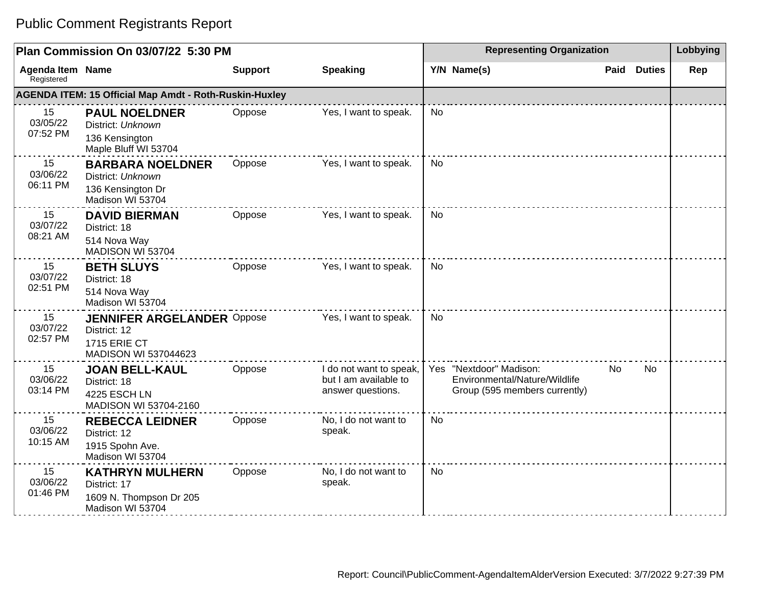| Plan Commission On 03/07/22 5:30 PM   |                                                                                                  |                |                                                                       | <b>Representing Organization</b> |                                                                                           |             |               | Lobbying |
|---------------------------------------|--------------------------------------------------------------------------------------------------|----------------|-----------------------------------------------------------------------|----------------------------------|-------------------------------------------------------------------------------------------|-------------|---------------|----------|
| <b>Agenda Item Name</b><br>Registered |                                                                                                  | <b>Support</b> | <b>Speaking</b>                                                       |                                  | Y/N Name(s)                                                                               | <b>Paid</b> | <b>Duties</b> | Rep      |
|                                       | <b>AGENDA ITEM: 15 Official Map Amdt - Roth-Ruskin-Huxley</b>                                    |                |                                                                       |                                  |                                                                                           |             |               |          |
| 15<br>03/05/22<br>07:52 PM            | <b>PAUL NOELDNER</b><br>District: Unknown<br>136 Kensington<br>Maple Bluff WI 53704              | Oppose         | Yes, I want to speak.                                                 | <b>No</b>                        |                                                                                           |             |               |          |
| 15<br>03/06/22<br>06:11 PM            | <b>BARBARA NOELDNER</b><br>District: Unknown<br>136 Kensington Dr<br>Madison WI 53704            | Oppose         | Yes, I want to speak.                                                 | No                               |                                                                                           |             |               |          |
| 15<br>03/07/22<br>08:21 AM            | <b>DAVID BIERMAN</b><br>District: 18<br>514 Nova Way<br>MADISON WI 53704                         | Oppose         | Yes, I want to speak.                                                 | <b>No</b>                        |                                                                                           |             |               |          |
| 15<br>03/07/22<br>02:51 PM            | <b>BETH SLUYS</b><br>District: 18<br>514 Nova Way<br>Madison WI 53704                            | Oppose         | Yes, I want to speak.                                                 | <b>No</b>                        |                                                                                           |             |               |          |
| 15<br>03/07/22<br>02:57 PM            | <b>JENNIFER ARGELANDER Oppose</b><br>District: 12<br><b>1715 ERIE CT</b><br>MADISON WI 537044623 |                | Yes, I want to speak.                                                 | No                               |                                                                                           |             |               |          |
| 15<br>03/06/22<br>03:14 PM            | <b>JOAN BELL-KAUL</b><br>District: 18<br>4225 ESCH LN<br>MADISON WI 53704-2160                   | Oppose         | I do not want to speak,<br>but I am available to<br>answer questions. |                                  | Yes "Nextdoor" Madison:<br>Environmental/Nature/Wildlife<br>Group (595 members currently) | No          | <b>No</b>     |          |
| 15<br>03/06/22<br>10:15 AM            | <b>REBECCA LEIDNER</b><br>District: 12<br>1915 Spohn Ave.<br>Madison WI 53704                    | Oppose         | No, I do not want to<br>speak.                                        | <b>No</b>                        |                                                                                           |             |               |          |
| 15<br>03/06/22<br>01:46 PM            | <b>KATHRYN MULHERN</b><br>District: 17<br>1609 N. Thompson Dr 205<br>Madison WI 53704            | Oppose         | No, I do not want to<br>speak.                                        | <b>No</b>                        |                                                                                           |             |               |          |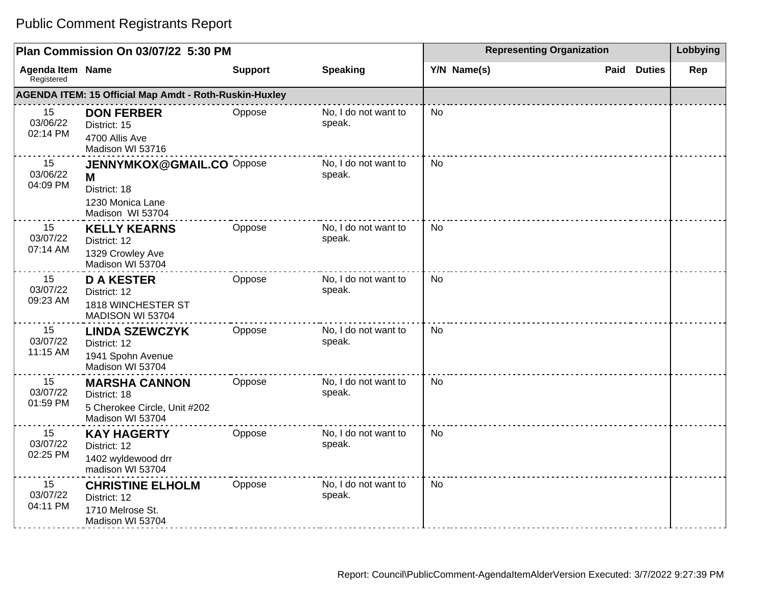| Plan Commission On 03/07/22 5:30 PM |                                                                                               |                |                                | <b>Representing Organization</b> | Lobbying              |     |
|-------------------------------------|-----------------------------------------------------------------------------------------------|----------------|--------------------------------|----------------------------------|-----------------------|-----|
| Agenda Item Name<br>Registered      |                                                                                               | <b>Support</b> | <b>Speaking</b>                | Y/N Name(s)                      | <b>Duties</b><br>Paid | Rep |
|                                     | <b>AGENDA ITEM: 15 Official Map Amdt - Roth-Ruskin-Huxley</b>                                 |                |                                |                                  |                       |     |
| 15<br>03/06/22<br>02:14 PM          | <b>DON FERBER</b><br>District: 15<br>4700 Allis Ave<br>Madison WI 53716                       | Oppose         | No, I do not want to<br>speak. | <b>No</b>                        |                       |     |
| 15<br>03/06/22<br>04:09 PM          | <b>JENNYMKOX@GMAIL.CO Oppose</b><br>M<br>District: 18<br>1230 Monica Lane<br>Madison WI 53704 |                | No, I do not want to<br>speak. | <b>No</b>                        |                       |     |
| 15<br>03/07/22<br>07:14 AM          | <b>KELLY KEARNS</b><br>District: 12<br>1329 Crowley Ave<br>Madison WI 53704                   | Oppose         | No, I do not want to<br>speak. | <b>No</b>                        |                       |     |
| 15<br>03/07/22<br>09:23 AM          | <b>D A KESTER</b><br>District: 12<br>1818 WINCHESTER ST<br>MADISON WI 53704                   | Oppose         | No, I do not want to<br>speak. | <b>No</b>                        |                       |     |
| 15<br>03/07/22<br>11:15 AM          | <b>LINDA SZEWCZYK</b><br>District: 12<br>1941 Spohn Avenue<br>Madison WI 53704                | Oppose         | No, I do not want to<br>speak. | <b>No</b>                        |                       |     |
| 15<br>03/07/22<br>01:59 PM          | <b>MARSHA CANNON</b><br>District: 18<br>5 Cherokee Circle, Unit #202<br>Madison WI 53704      | Oppose         | No, I do not want to<br>speak. | <b>No</b>                        |                       |     |
| 15<br>03/07/22<br>02:25 PM          | <b>KAY HAGERTY</b><br>District: 12<br>1402 wyldewood drr<br>madison WI 53704                  | Oppose         | No, I do not want to<br>speak. | <b>No</b>                        |                       |     |
| 15<br>03/07/22<br>04:11 PM          | <b>CHRISTINE ELHOLM</b><br>District: 12<br>1710 Melrose St.<br>Madison WI 53704               | Oppose         | No, I do not want to<br>speak. | No                               |                       |     |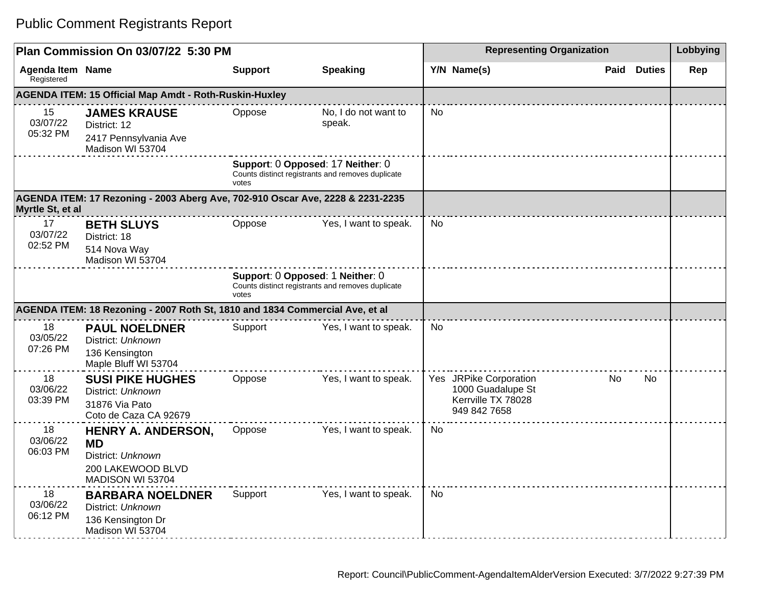| Plan Commission On 03/07/22 5:30 PM |                                                                                                      |                |                                                                                        |           | <b>Representing Organization</b>                                                  |    |      |               |     |
|-------------------------------------|------------------------------------------------------------------------------------------------------|----------------|----------------------------------------------------------------------------------------|-----------|-----------------------------------------------------------------------------------|----|------|---------------|-----|
| Agenda Item Name<br>Registered      |                                                                                                      | <b>Support</b> | <b>Speaking</b>                                                                        |           | Y/N Name(s)                                                                       |    | Paid | <b>Duties</b> | Rep |
|                                     | <b>AGENDA ITEM: 15 Official Map Amdt - Roth-Ruskin-Huxley</b>                                        |                |                                                                                        |           |                                                                                   |    |      |               |     |
| 15<br>03/07/22<br>05:32 PM          | <b>JAMES KRAUSE</b><br>District: 12<br>2417 Pennsylvania Ave<br>Madison WI 53704                     | Oppose         | No, I do not want to<br>speak.                                                         | <b>No</b> |                                                                                   |    |      |               |     |
|                                     |                                                                                                      | votes          | Support: 0 Opposed: 17 Neither: 0<br>Counts distinct registrants and removes duplicate |           |                                                                                   |    |      |               |     |
| Myrtle St, et al                    | AGENDA ITEM: 17 Rezoning - 2003 Aberg Ave, 702-910 Oscar Ave, 2228 & 2231-2235                       |                |                                                                                        |           |                                                                                   |    |      |               |     |
| 17<br>03/07/22<br>02:52 PM          | <b>BETH SLUYS</b><br>District: 18<br>514 Nova Way<br>Madison WI 53704                                | Oppose         | Yes, I want to speak.                                                                  | <b>No</b> |                                                                                   |    |      |               |     |
|                                     |                                                                                                      | votes          | Support: 0 Opposed: 1 Neither: 0<br>Counts distinct registrants and removes duplicate  |           |                                                                                   |    |      |               |     |
|                                     | AGENDA ITEM: 18 Rezoning - 2007 Roth St, 1810 and 1834 Commercial Ave, et al                         |                |                                                                                        |           |                                                                                   |    |      |               |     |
| 18<br>03/05/22<br>07:26 PM          | <b>PAUL NOELDNER</b><br>District: Unknown<br>136 Kensington<br>Maple Bluff WI 53704                  | Support        | Yes, I want to speak.                                                                  | <b>No</b> |                                                                                   |    |      |               |     |
| 18<br>03/06/22<br>03:39 PM          | <b>SUSI PIKE HUGHES</b><br>District: Unknown<br>31876 Via Pato<br>Coto de Caza CA 92679              | Oppose         | Yes, I want to speak.                                                                  |           | Yes JRPike Corporation<br>1000 Guadalupe St<br>Kerrville TX 78028<br>949 842 7658 | No |      | No            |     |
| 18<br>03/06/22<br>06:03 PM          | <b>HENRY A. ANDERSON,</b><br><b>MD</b><br>District: Unknown<br>200 LAKEWOOD BLVD<br>MADISON WI 53704 | Oppose         | Yes, I want to speak.                                                                  | <b>No</b> |                                                                                   |    |      |               |     |
| 18<br>03/06/22<br>06:12 PM          | <b>BARBARA NOELDNER</b><br>District: Unknown<br>136 Kensington Dr<br>Madison WI 53704                | Support        | Yes, I want to speak.                                                                  | <b>No</b> |                                                                                   |    |      |               |     |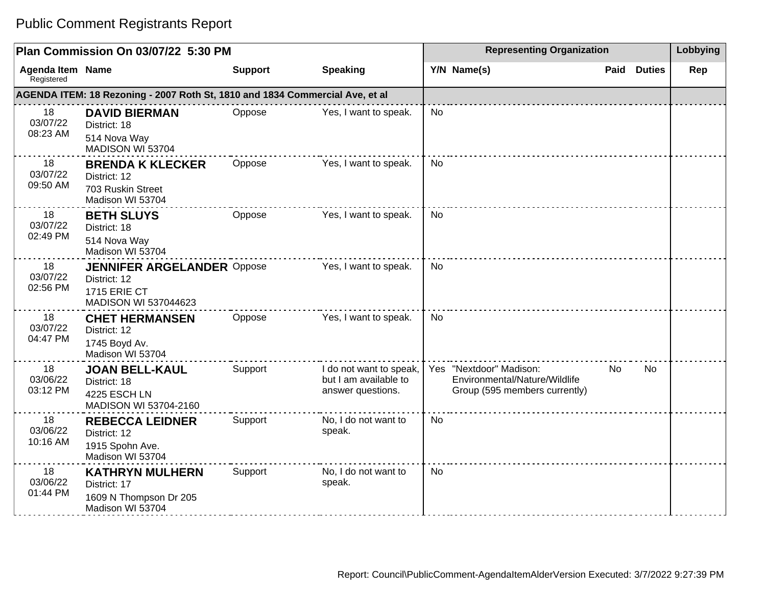#### **Plan Commission On 03/07/22 5:30 PM Representing Organization Lobbying Agenda Item Registered Name Support Speaking Y/N Name(s) Paid Duties Rep AGENDA ITEM: 18 Rezoning - 2007 Roth St, 1810 and 1834 Commercial Ave, et al** 18 03/07/22 08:23 AM **DAVID BIERMAN** District: 18 514 Nova Way MADISON WI 53704 Oppose Yes, I want to speak. No 18 03/07/22 09:50 AM **BRENDA K KLECKER** District: 12 703 Ruskin Street Madison WI 53704 Oppose Yes, I want to speak. No 18 03/07/22 02:49 PM **BETH SLUYS** District: 18 514 Nova Way Madison WI 53704 Oppose Yes, I want to speak. No 18 03/07/22 02:56 PM **JENNIFER ARGELANDER** District: 12 1715 ERIE CT MADISON WI 537044623 Yes, I want to speak.  $\vert$  No 18 03/07/22 04:47 PM **CHET HERMANSEN** District: 12 1745 Boyd Av. Madison WI 53704 Oppose Yes, I want to speak. No 18 03/06/22 03:12 PM **JOAN BELL-KAUL** District: 18 4225 ESCH LN MADISON WI 53704-2160 Support I do not want to speak, but I am available to answer questions. Yes "Nextdoor" Madison: Environmental/Nature/Wildlife Group (595 members currently) No No 18 03/06/22 10:16 AM **REBECCA LEIDNER** District: 12 1915 Spohn Ave. Madison WI 53704 Support No, I do not want to speak. No 18 03/06/22 01:44 PM **KATHRYN MULHERN** District: 17 1609 N Thompson Dr 205 Madison WI 53704 Support No, I do not want to speak. No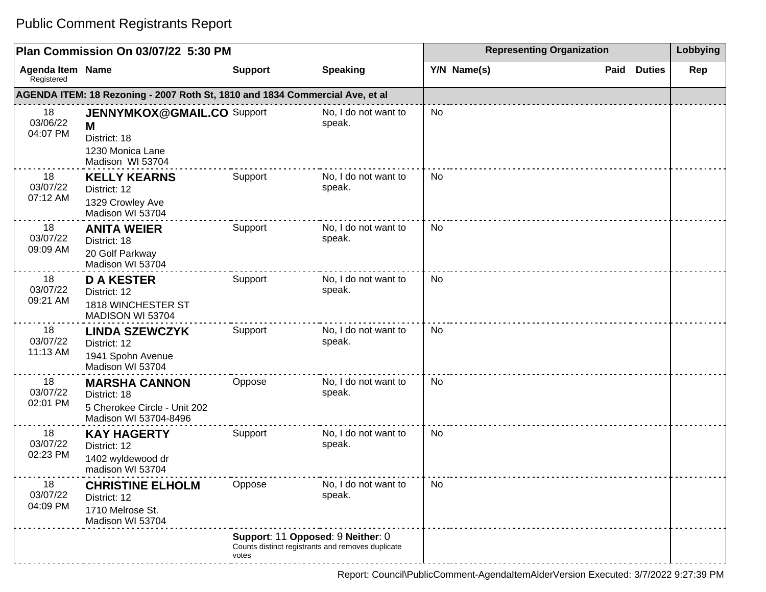| Plan Commission On 03/07/22 5:30 PM |                                                                                                |                                            |                                                   |             | <b>Representing Organization</b> |      |               |     |  |
|-------------------------------------|------------------------------------------------------------------------------------------------|--------------------------------------------|---------------------------------------------------|-------------|----------------------------------|------|---------------|-----|--|
| Agenda Item Name<br>Registered      |                                                                                                | <b>Support</b>                             | <b>Speaking</b>                                   | Y/N Name(s) |                                  | Paid | <b>Duties</b> | Rep |  |
|                                     | AGENDA ITEM: 18 Rezoning - 2007 Roth St, 1810 and 1834 Commercial Ave, et al                   |                                            |                                                   |             |                                  |      |               |     |  |
| 18<br>03/06/22<br>04:07 PM          | <b>JENNYMKOX@GMAIL.CO Support</b><br>M<br>District: 18<br>1230 Monica Lane<br>Madison WI 53704 |                                            | No, I do not want to<br>speak.                    | No          |                                  |      |               |     |  |
| 18<br>03/07/22<br>07:12 AM          | <b>KELLY KEARNS</b><br>District: 12<br>1329 Crowley Ave<br>Madison WI 53704                    | Support                                    | No, I do not want to<br>speak.                    | No          |                                  |      |               |     |  |
| 18<br>03/07/22<br>09:09 AM          | <b>ANITA WEIER</b><br>District: 18<br>20 Golf Parkway<br>Madison WI 53704                      | Support                                    | No, I do not want to<br>speak.                    | No          |                                  |      |               |     |  |
| 18<br>03/07/22<br>09:21 AM          | <b>D A KESTER</b><br>District: 12<br>1818 WINCHESTER ST<br>MADISON WI 53704                    | Support                                    | No, I do not want to<br>speak.                    | No          |                                  |      |               |     |  |
| 18<br>03/07/22<br>11:13 AM          | <b>LINDA SZEWCZYK</b><br>District: 12<br>1941 Spohn Avenue<br>Madison WI 53704                 | Support                                    | No, I do not want to<br>speak.                    | <b>No</b>   |                                  |      |               |     |  |
| 18<br>03/07/22<br>02:01 PM          | <b>MARSHA CANNON</b><br>District: 18<br>5 Cherokee Circle - Unit 202<br>Madison WI 53704-8496  | Oppose                                     | No, I do not want to<br>speak.                    | No          |                                  |      |               |     |  |
| 18<br>03/07/22<br>02:23 PM          | <b>KAY HAGERTY</b><br>District: 12<br>1402 wyldewood dr<br>madison WI 53704                    | Support                                    | No, I do not want to<br>speak.                    | <b>No</b>   |                                  |      |               |     |  |
| 18<br>03/07/22<br>04:09 PM          | <b>CHRISTINE ELHOLM</b><br>District: 12<br>1710 Melrose St.<br>Madison WI 53704                | Oppose                                     | No, I do not want to<br>speak.                    | No          |                                  |      |               |     |  |
|                                     |                                                                                                | Support: 11 Opposed: 9 Neither: 0<br>votes | Counts distinct registrants and removes duplicate |             |                                  |      |               |     |  |

Report: Council\PublicComment-AgendaItemAlderVersion Executed: 3/7/2022 9:27:39 PM